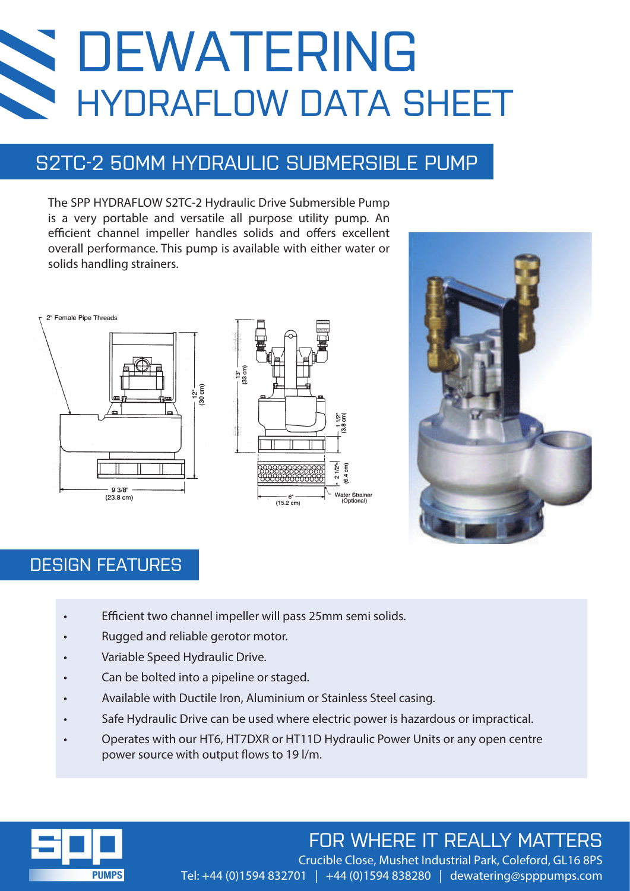# **NA** DEWATERING HYDRAFLOW DATA SHEET

# S2TC-2 50MM HYDRAULIC SUBMERSIBLE PUMP

The SPP HYDRAFLOW S2TC-2 Hydraulic Drive Submersible Pump is a very portable and versatile all purpose utility pump. An efficient channel impeller handles solids and offers excellent overall performance. This pump is available with either water or solids handling strainers.







### DESIGN FEATURES

- Efficient two channel impeller will pass 25mm semi solids.
- Rugged and reliable gerotor motor.
- Variable Speed Hydraulic Drive.
- Can be bolted into a pipeline or staged.
- Available with Ductile Iron, Aluminium or Stainless Steel casing.
- Safe Hydraulic Drive can be used where electric power is hazardous or impractical.
- Operates with our HT6, HT7DXR or HT11D Hydraulic Power Units or any open centre power source with output flows to 19 l/m.



# FOR WHERE IT REALLY MATTERS

Crucible Close, Mushet Industrial Park, Coleford, GL16 8PS Tel: +44 (0)1594 832701 | +44 (0)1594 838280 | dewatering@spppumps.com